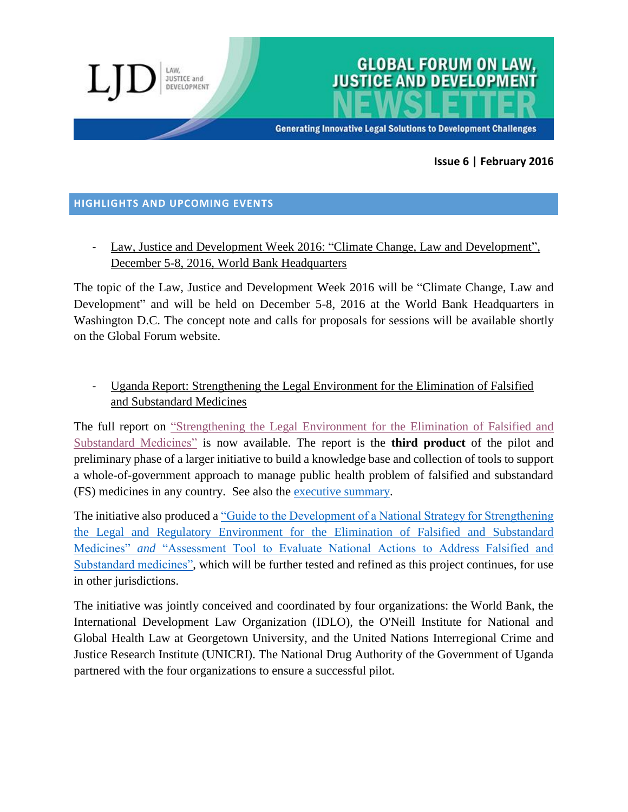

**GLOBAL FORUM ON LAW,** 

**Generating Innovative Legal Solutions to Development Challenges** 

### **Issue 6 | February 2016**

#### **HIGHLIGHTS AND UPCOMING EVENTS**

**JUSTICE and** DEVELOPMENT

Law, Justice and Development Week 2016: "Climate Change, Law and Development", December 5-8, 2016, World Bank Headquarters

The topic of the Law, Justice and Development Week 2016 will be "Climate Change, Law and Development" and will be held on December 5-8, 2016 at the World Bank Headquarters in Washington D.C. The concept note and calls for proposals for sessions will be available shortly on the Global Forum website.

## - Uganda Report: Strengthening the Legal Environment for the Elimination of Falsified and Substandard Medicines

The full report on ["Strengthening the Legal Environment for the Elimination of Falsified and](http://globalforumljd.org/sites/default/files/resource/160215%20FS%20medicines%20Uganda%20report%2015%20February%202016%20low%20res.pdf)  [Substandard Medicines"](http://globalforumljd.org/sites/default/files/resource/160215%20FS%20medicines%20Uganda%20report%2015%20February%202016%20low%20res.pdf) is now available. The report is the **third product** of the pilot and preliminary phase of a larger initiative to build a knowledge base and collection of tools to support a whole-of-government approach to manage public health problem of falsified and substandard (FS) medicines in any country. See also the [executive summary.](http://globalforumljd.org/sites/default/files/resource/151116%20IDLO%20ONeill%20UNICRI%20Uganda%20FS%20medicines%20report%20Executive%20Summary%2016%20November%202015.pdf)

The initiative also produced a ["Guide to the Development of a National Strategy for Strengthening](http://globalforumljd.org/sites/default/files/resource/151102%20FS%20Medicines%20National%20Strategy%20Guide%20and%20Assessment%20Tool.pdf)  [the Legal and Regulatory Environment for the Elimination of Falsified and Substandard](http://globalforumljd.org/sites/default/files/resource/151102%20FS%20Medicines%20National%20Strategy%20Guide%20and%20Assessment%20Tool.pdf)  Medicines" *and* ["Assessment Tool to Evaluate National Actions to Address Falsified and](http://globalforumljd.org/sites/default/files/resource/151102%20FS%20Medicines%20National%20Strategy%20Guide%20and%20Assessment%20Tool.pdf)  [Substandard medicines",](http://globalforumljd.org/sites/default/files/resource/151102%20FS%20Medicines%20National%20Strategy%20Guide%20and%20Assessment%20Tool.pdf) which will be further tested and refined as this project continues, for use in other jurisdictions.

The initiative was jointly conceived and coordinated by four organizations: the World Bank, the International Development Law Organization (IDLO), the O'Neill Institute for National and Global Health Law at Georgetown University, and the United Nations Interregional Crime and Justice Research Institute (UNICRI). The National Drug Authority of the Government of Uganda partnered with the four organizations to ensure a successful pilot.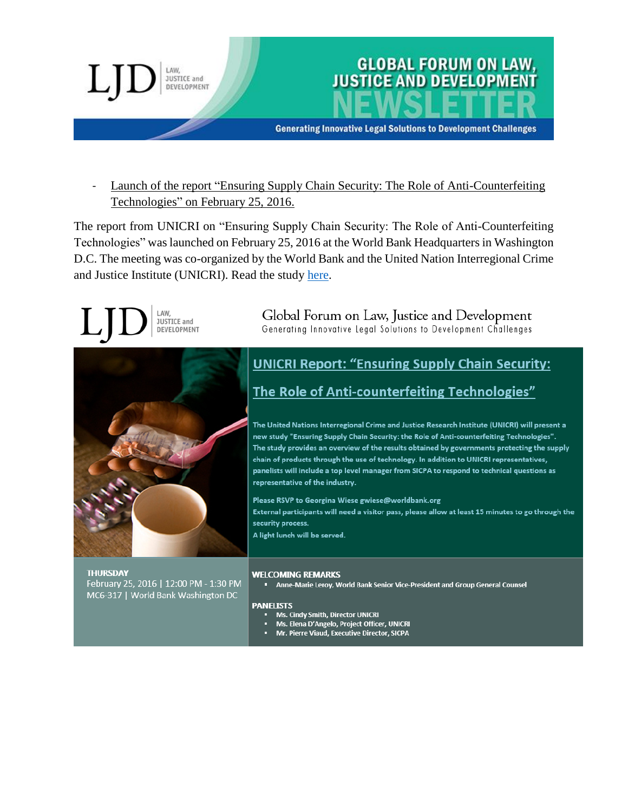

Launch of the report "Ensuring Supply Chain Security: The Role of Anti-Counterfeiting Technologies" on February 25, 2016.

The report from UNICRI on "Ensuring Supply Chain Security: The Role of Anti-Counterfeiting Technologies" was launched on February 25, 2016 at the World Bank Headquarters in Washington D.C. The meeting was co-organized by the World Bank and the United Nation Interregional Crime and Justice Institute (UNICRI). Read the study [here.](http://www.unicri.it/topics/counterfeiting/anticounterfeiting_technologies/Ensuring_supply_chain_security_report.pdf)

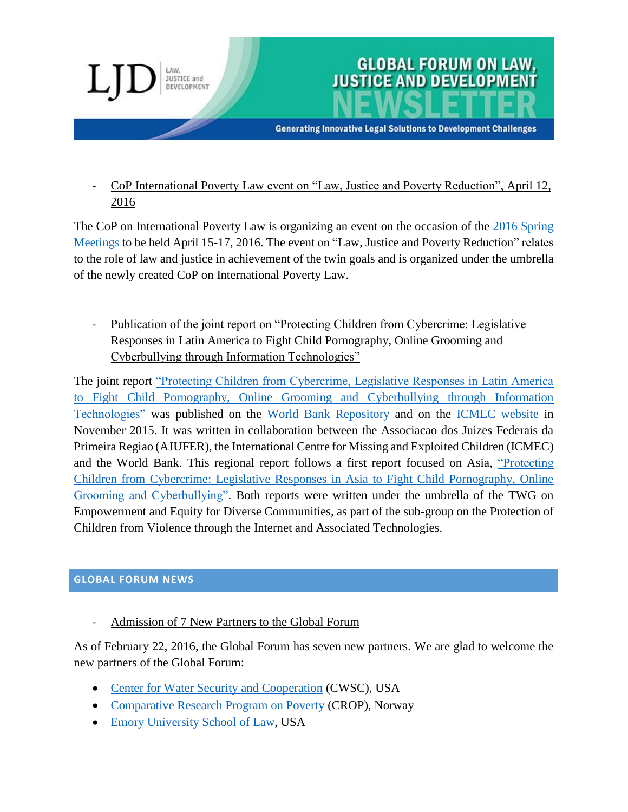

- CoP International Poverty Law event on "Law, Justice and Poverty Reduction", April 12, 2016

The CoP on International Poverty Law is organizing an event on the occasion of the [2016 Spring](https://www.imf.org/external/spring/2016/index.htm)  [Meetings](https://www.imf.org/external/spring/2016/index.htm) to be held April 15-17, 2016. The event on "Law, Justice and Poverty Reduction" relates to the role of law and justice in achievement of the twin goals and is organized under the umbrella of the newly created CoP on International Poverty Law.

Publication of the joint report on "Protecting Children from Cybercrime: Legislative Responses in Latin America to Fight Child Pornography, Online Grooming and Cyberbullying through Information Technologies"

The joint report ["Protecting Children from Cybercrime, Legislative Responses in Latin America](http://globalforumljd.org/sites/default/files/resource/protecting-children-from-cybercrime-latin-america-2015.pdf)  [to Fight Child Pornography, Online Grooming and](http://globalforumljd.org/sites/default/files/resource/protecting-children-from-cybercrime-latin-america-2015.pdf) Cyberbullying through Information [Technologies"](http://globalforumljd.org/sites/default/files/resource/protecting-children-from-cybercrime-latin-america-2015.pdf) was published on the [World Bank Repository](http://documents.worldbank.org/curated/en/2015/12/25664972/protecting-children-cybercrime-legislative-responses-latin-america-fight-child-pornography-online-grooming-cyberbullying-through-information-communication-technologies) and on the [ICMEC website](http://www.icmec.org/research-library/) in November 2015. It was written in collaboration between the Associacao dos Juizes Federais da Primeira Regiao (AJUFER), the International Centre for Missing and Exploited Children (ICMEC) and the World Bank. This regional report follows a first report focused on Asia, ["Protecting](http://globalforumljd.org/sites/default/files/resource/protecting-children-from-cybercrime-latin-america-2015.pdf)  [Children from Cybercrime: Legislative Responses in Asia to Fight Child Pornography, Online](http://globalforumljd.org/sites/default/files/resource/protecting-children-from-cybercrime-latin-america-2015.pdf)  [Grooming and Cyberbullying".](http://globalforumljd.org/sites/default/files/resource/protecting-children-from-cybercrime-latin-america-2015.pdf) Both reports were written under the umbrella of the TWG on Empowerment and Equity for Diverse Communities, as part of the sub-group on the Protection of Children from Violence through the Internet and Associated Technologies.

### **GLOBAL FORUM NEWS**

Admission of 7 New Partners to the Global Forum

As of February 22, 2016, the Global Forum has seven new partners. We are glad to welcome the new partners of the Global Forum:

- [Center for Water Security and Cooperation](http://www.ourwatersecurity.org/) (CWSC), USA
- [Comparative Research Program on Poverty](http://www.crop.org/) (CROP), Norway
- [Emory University School of Law,](http://law.emory.edu/) USA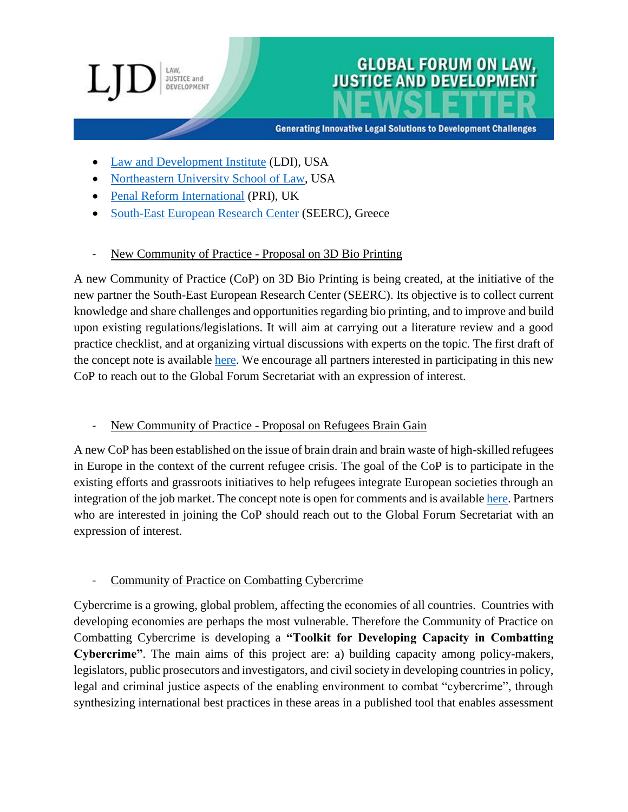# **JUSTICE and** DEVELOPMENT

## **GLOBAL FORUM ON LAW, JUSTICE AND DEVELOPME**

**Generating Innovative Legal Solutions to Development Challenges** 

- [Law and Development Institute](http://www.lawanddevelopment.net/) (LDI), USA
- [Northeastern University School of Law,](http://www.northeastern.edu/law/) USA
- [Penal Reform International](http://www.penalreform.org/) (PRI), UK
- [South-East European Research Center](http://www.seerc.org/new/) (SEERC), Greece
- New Community of Practice Proposal on 3D Bio Printing

A new Community of Practice (CoP) on 3D Bio Printing is being created, at the initiative of the new partner the South-East European Research Center (SEERC). Its objective is to collect current knowledge and share challenges and opportunities regarding bio printing, and to improve and build upon existing regulations/legislations. It will aim at carrying out a literature review and a good practice checklist, and at organizing virtual discussions with experts on the topic. The first draft of the concept note is available [here.](http://globalforumljd.org/sites/default/files/docs/cop/Bioprinting_draft%20for%20comments.pdf) We encourage all partners interested in participating in this new CoP to reach out to the Global Forum Secretariat with an expression of interest.

## New Community of Practice - Proposal on Refugees Brain Gain

A new CoP has been established on the issue of brain drain and brain waste of high-skilled refugees in Europe in the context of the current refugee crisis. The goal of the CoP is to participate in the existing efforts and grassroots initiatives to help refugees integrate European societies through an integration of the job market. The concept note is open for comments and is availabl[e here.](http://globalforumljd.org/sites/default/files/docs/cop/Turning%20Brain%20Drain%20and%20Brain%20Waste%20into%20Brain%20Gain_draft%20for%20comments.pdf) Partners who are interested in joining the CoP should reach out to the Global Forum Secretariat with an expression of interest.

### Community of Practice on Combatting Cybercrime

Cybercrime is a growing, global problem, affecting the economies of all countries. Countries with developing economies are perhaps the most vulnerable. Therefore the Community of Practice on Combatting Cybercrime is developing a **"Toolkit for Developing Capacity in Combatting Cybercrime"**. The main aims of this project are: a) building capacity among policy-makers, legislators, public prosecutors and investigators, and civil society in developing countries in policy, legal and criminal justice aspects of the enabling environment to combat "cybercrime", through synthesizing international best practices in these areas in a published tool that enables assessment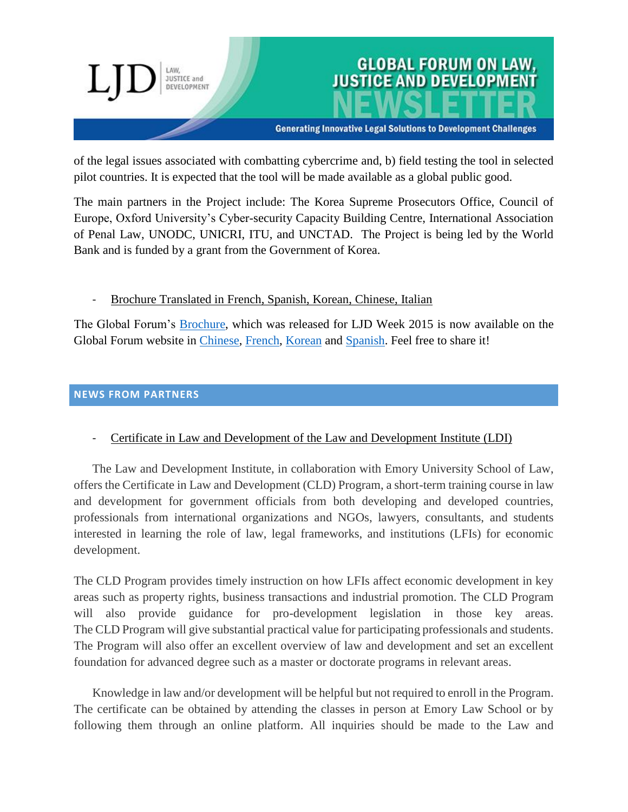

of the legal issues associated with combatting cybercrime and, b) field testing the tool in selected pilot countries. It is expected that the tool will be made available as a global public good.

The main partners in the Project include: The Korea Supreme Prosecutors Office, Council of Europe, Oxford University's Cyber-security Capacity Building Centre, International Association of Penal Law, UNODC, UNICRI, ITU, and UNCTAD. The Project is being led by the World Bank and is funded by a grant from the Government of Korea.

- Brochure Translated in French, Spanish, Korean, Chinese, Italian

The Global Forum's [Brochure,](http://globalforumljd.org/sites/default/files/docs/about/Global%20Forum%20Brochure%20English%20LowRes.pdf) which was released for LJD Week 2015 is now available on the Global Forum website in [Chinese,](http://globalforumljd.org/sites/default/files/docs/about/Global%20Forum%20Brochure%20Chinese%20LowRes%20Nov%202015.pdf) [French,](http://globalforumljd.org/sites/default/files/docs/about/Global%20Forum%20Brochure%20French%20LowRes%20Nov%202015.pdf) [Korean](http://globalforumljd.org/sites/default/files/docs/about/Global%20Forum%20Brochure%20Korean%20LowRes.pdf) and [Spanish.](http://globalforumljd.org/sites/default/files/docs/about/Global%20Forum%20Brochure%20Spanish%20LowRes%20Nov%202015.pdf) Feel free to share it!

**NEWS FROM PARTNERS**

Certificate in Law and Development of the Law and Development Institute (LDI)

The Law and Development Institute, in collaboration with Emory University School of Law, offers the Certificate in Law and Development (CLD) Program, a short-term training course in law and development for government officials from both developing and developed countries, professionals from international organizations and NGOs, lawyers, consultants, and students interested in learning the role of law, legal frameworks, and institutions (LFIs) for economic development.

The CLD Program provides timely instruction on how LFIs affect economic development in key areas such as property rights, business transactions and industrial promotion. The CLD Program will also provide guidance for pro-development legislation in those key areas. The CLD Program will give substantial practical value for participating professionals and students. The Program will also offer an excellent overview of law and development and set an excellent foundation for advanced degree such as a master or doctorate programs in relevant areas.

Knowledge in law and/or development will be helpful but not required to enroll in the Program. The certificate can be obtained by attending the classes in person at Emory Law School or by following them through an online platform. All inquiries should be made to the Law and